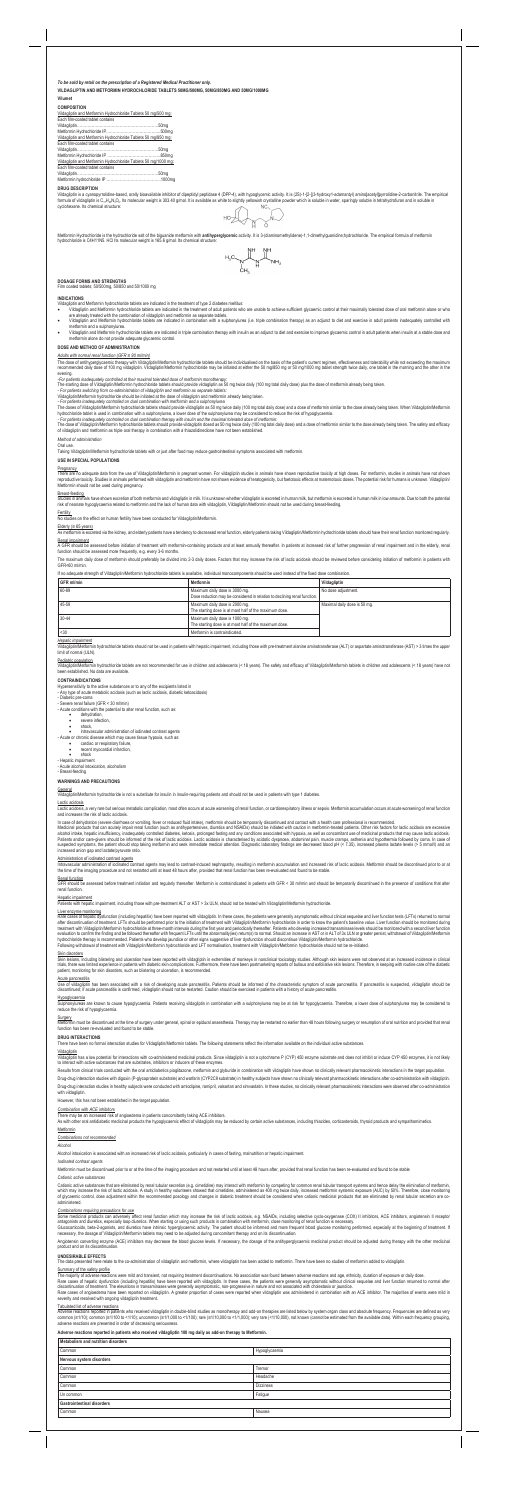# **Vilumet COMPOSITION**

Vildagliptin and Metformin Hydrochloride Tablets 50 mg/500 mg: Each film-coated tablet contains

| Vildagliptin and Metformin Hydrochloride Tablets 50 mg/850 mg:  |  |
|-----------------------------------------------------------------|--|
| Each film-coated tablet contains                                |  |
|                                                                 |  |
|                                                                 |  |
| Vildagliptin and Metformin Hydrochloride Tablets 50 mg/1000 mg: |  |
| Each film-coated tablet contains                                |  |
|                                                                 |  |

Vildagliptin is a cyanopyrrolidine-based, orally bioavailable inhibitor of dipeptidyl peptidase 4 (DPP-4), with hypoglycemic activity. It is (2S)-1-[2-[(3-hydroxy1-adamantyl) amino]acetyl]pyrrolidine-2-carbonitrile. The em cyclohexane. Its chemical structure:

Metformin Hydrochloride is the hydrochloride salt of the biguanide metformin with **antihyperglycemic** activity. It is 3-(diaminomethylidene)-1,1-dimethylguanidine;hydrochloride. The empirical formula of metformin hydrochloride is C4H11N5. HCl Its molecular weight is 165.6 g/mol. Its chemical structure

$$
\text{HOD} \left(\bigcap_{N\subset N} \text{HOD} \right)
$$

$$
H_3C\underset{\underset{\text{CH}_2}{\bigcup}}{\bigcup_{\text{CH}_2}\bigcup_{\text{NH}_2}^{N\text{H}}}\underset{\text{NH}_2}{\bigcup_{\text{NH}_2}}
$$

Metformin hydrochloride IP …………………………………..1000mg **DRUG DESCRIPTION**

The dose of antihyperglycaemic therapy with Vildagliptin/Metformin hydrochloride tablets should be individualised on the basis of the patient's current regimen, effectiveness and tolerability while not exceeding the maximu recommended daily dose of 100 mg vildagliptin. Vildagliptin/Metformin hydrochloride may be initiated at either the 50 mg/850 mg or 50 mg/1000 mg tablet strength twice daily, one tablet in the morning and the other in the evening.

**DOSAGE FORMS AND STRENGTHS** Film coated tablets; 50/500mg, 50/850 and 50/1000 mg

### **INDICATIONS**

- Vildagliptin and Metformin hydrochloride tablets are indicated in the treatment of type 2 diabetes mellitus:
- Vildagliptin and Metformin hydrochloride tablets are indicated in the treatment of adult patients who are unable to achieve sufficient glycaemic control at their maximally tolerated dose of oral metformin alone or who<br>are
- Vildagliptin and Metformin hydrochloride tablets are indicated in combination with a sulphonylurea (i.e. triple combination therapy) as an adjunct to diet and exercise in adult patients inadequately controlled with mothemu , .<br>min and a sulphonylu Vildagliptin and Metformin hydrochloride tablets are indicated in triple combination therapy with insulin as an adjunct to diet and exercise to improve glycaemic control in adult patients when insulin at a stable dose and
- metformin alone do not provide adequate glycaemic control.

# **DOSE AND METHOD OF ADMINISTRATION**

There are no adequate data from the use of Vildagliptin/Metformin in pregnant women. For vildagliptin studies in animals have shown reproductive toxicity at high doses. For metformin, studies in animals have not shown reproductive toxicity. Studies in animals performed with vildagliptin and metformin have not shown evidence of teratogenicity, but foetotoxic effects at maternotoxic doses. The potential risk for humans is unknown. Vildagl Metformin should not be used during pregnancy.

## *Adults with normal renal function (GFR ≥ 90 ml/min)*

<u>Elderly (≥ 65 years)</u><br>As metformin is excreted via the kidney, and elderly patients have a tendency to decreased renal function, elderly patients taking Vildagliptin/Metformin hydrochloride tablets should have their rena Renal impairment

A GFR should be assessed before initiation of treatment with metformin-containing products and at least annually thereafter. In patients at increased risk of further progression of renal impairment and in the elderly, rena function should be assessed more frequently, e.g. every 3-6 months.

*-For patients inadequately controlled at their maximal tolerated dose of metformin monotherapy:*

The starting dose of Vildagliptin/Metformin hydrochloride tablets should provide vildagliptin as 50 mg twice daily (100 mg total daily dose) plus the dose of metformin already being taken.<br>- For patients switching from co-

*- For patients inadequately controlled on dual combination with metformin and a sulphonylurea*<br>The doses of Vildagliptin/Metformin hydrochloride tablets should provide vildagliptin as 50 mg twice daily (100 mg total daily

hydrochloride tablet is used in combination with a sulphonylurea, a lower dose of the sulphonylurea may be considered to reduce the risk of hypoglycaemia.<br>- For patients inadequately controlled on dual combination therapy

The maximum daily dose of metformin should preferably be divided into 2-3 daily doses. Factors that may increase the risk of lactic acidosis should be reviewed before considering initiation of metformin in patients with GFR<60 ml/min.

*Hepatic impairment* Vildagliptin/Metformin hydrochloride tablets should not be used in patients with hepatic impairment, including those with pre-treatment alanine aminotransferase (ALT) or aspartate aminotransferase (AST) > 3 times the upper

### Pediatric population

Vildagliptin/Metformin hydrochloride tablets are not recommended for use in children and adolescents (< 18 years). The safety and efficacy of Vildagliptin/Metformin tablets in children and adolescents (< 18 years) have not

- Acute conditions with the potential to alter renal function, such as:
	- dehydration severe infection,
	- shock.
	-

Lactic acidosis, a very rare but serious metabolic complication, most often occurs at acute worsening of renal function, or cardiorespiratory illness or sepsis. Metformin accumulation occurs at acute worsening of renal fun and increases the risk of lactic acidosis.

## *Method of administration*

Oral use.

Taking Vildagliptin/Metformin hydrochloride tablets with or just after food may reduce gastrointestinal symptoms associated with metformin.

## **USE IN SPECIAL POPULATIONS**

## **Pregnancy**

In case of dehydration (severe diarrhoea or vomiting, fever or reduced fluid intake), metformin should be temporarily discontinued and contact with a health care professional is recommended.<br>Medicinal products that can acu alcohol intake, hepatic insufficiency, inadequately controlled diabetes, ketosis, prolonged fasting and any conditions associated with hypoxia, as well as concomitant use of medicinal products that may cause lactic acidosi increased anion gap and lactate/pyruvate ratio.

Administration of iodinated contrast agents<br>Intravascular administration of iodinated contrast agents may lead to contrast-induced nephropathy, resulting in metformin accumulation and increased risk of lactic acidosis. Met

# Breast-feeding

Studies in animals have shown excretion of both metformin and vildagliptin in milk. It is unknown whether vildagliptin is excreted in human milk, but metformin is excreted in human milk in low amounts. Due to both the pote

# **Fertility**

No studies on the effect on human fertility have been conducted for Vildagliptin/Metformin.

Skin lesions, including blistering and ulceration have been reported with vildagliptin in extremities of monkeys in nonclinical toxicology studies. Although skin lesions were not observed at an increased incidence in clini trials, there was limited experience in patients with diabetic skin complications. Furthermore, there have been postmarketing reports of bullous and exfoliative skin lesions. Therefore, in keeping with routine care of the patient, monitoring for skin disorders, such as blistering or ulceration, is recommended.

<u>Acute pancreatitis</u><br>Use of vildagliptin has been associated with a risk of developing acute pancreatitis. Patients should be informed of the characteristic symptom of acute pancreatitis. If pancreatitis is suspected, vild discontinued; if acute pancreatitis is confirmed, vildagliptin should not be restarted. Caution should be exercised in patients with a history of acute pancreatitis

<u>Hypoglycaemia</u><br>Sulphonylureas are known to cause hypoglycaemia. Patients receiving vildagliptin in combination with a sulphonylurea may be at risk for hypoglycaemia. Therefore, a lower dose of sulphonylurea may be conside reduce the risk of hypoglycaemia.

S<u>urgery</u><br>Metformin must be discontinued at the time of surgery under general, spinal or epidural anaesthesia. Therapy may be restarted no earlier than 48 hours following surgery or resumption of oral nutrition and provid

If no adequate strength of Vildagliptin/Metformin hydrochloride tablets is available, individual monocomponents should be used instead of the fixed dose combination.

| GFR ml/min | Metformin                                                                                                   | Vildagliptin                 |
|------------|-------------------------------------------------------------------------------------------------------------|------------------------------|
| 60-89      | Maximum daily dose is 3000 mg.<br>Dose reduction may be considered in relation to declining renal function. | No dose adjustment.          |
| 45-59      | Maximum daily dose is 2000 mg.<br>The starting dose is at most half of the maximum dose.                    | Maximal daily dose is 50 mg. |
| $30-44$    | Maximum daily dose is 1000 mg.<br>The starting dose is at most half of the maximum dose.                    |                              |
| $30$       | Metformin is contraindicated.                                                                               |                              |

### **CONTRAINDICATIONS**

Hypersensitivity to the active substances or to any of the excipients listed in

- Any type of acute metabolic acidosis (such as lactic acidosis, diabetic ketoacidosis)

...<br>tic pre-coma

- Severe renal failure (GFR < 30 ml/min)

# • intravascular administration of iodinated contrast agents - Acute or chronic disease which may cause tissue hypoxia, such as:

Cationic active substances that are eliminated by renal tubular secretion (e.g. cimetidine) may interact with metformin by competing for common renal tubular transport systems and hence delay the elimination of metformin,<br> administered.

Combinations requiring precautions for use<br>Some medicinal products can adversely affect renal function which may increase the risk of lactic acidosis, e.g. NSAIDs, including selective cyclo-oxygenase (COX) II inhibitors, A antagonists and diuretics, especially loop diuretics. When starting or using such products in combination with metformin, close monitoring of renal function is necessary.<br>Glucocorticoids, beta-2-agonists, and diuretics hav

• cardiac or respiratory failure, • recent myocardial infarction,

shock

- Hepatic impairment

- Acute alcohol intoxication, alcoholism

# - Breast-feeding

# **WARNINGS AND PRECAUTIONS**

# **General**

Vildagliptin/Metformin hydrochloride is not a substitute for insulin in insulin-requiring patients and should not be used in patients with type 1 diabetes.

## Lactic acidosis

Angiotensin converting enzyme (ACE) inhibitors may decrease the blood glucose levels. If necessary, the dosage of the antihyperglycaemic medicinal product should be adjusted during therapy with the other medicinal product and on its discontinuation.

## Renal function

GFR should be assessed before treatment initiation and regularly thereafter. Metformin is contraindicated in patients with GFR < 30 ml/min and should be temporarily discontinued in the presence of conditions that alter renal function.

# Hepatic impairment

Patients with hepatic impairment, including those with pre-treatment ALT or AST > 3x ULN, should not be treated with Vildagliptin/Metformin hydrochloride

# Liver enzyme monitoring

Rare cases of hepatic dysfunction (including hepatitis) have been reported with vildagliptin. In these cases, the patients were generally asymptomatic without clinical sequelae and liver function tests (LFTs) returned to n evaluation to confirm the finding and be followed thereafter with frequent LFTs until the abnormality(ies) return(s) to normal. Should an increase in AST or in ALT of 3x ULN or greater persist, withdrawal of Vildagliptin/

## Skin disorders

## **DRUG INTERACTIONS**

There have been no formal interaction studies for Vildagliptin/Metformin tablets. The following statements reflect the information available on the individual active substances.

### Vildagliptin

Vildagliptin has a low potential for interactions with co-administered medicinal products. Since vildagliptin is not a cytochrome P (CYP) 450 enzyme substrate and does not inhibit or induce CYP 450 enzymes, it is not likel

Results from clinical trials conducted with the oral antidiabetics pioglitazone, metformin and glyburide in combination with vildagliptin have shown no clinically relevant pharmacokinetic interactions in the target populat

Drug-drug interaction studies with digoxin (P-glycoprotein substrate) and warfarin (CYP2C9 substrate) in healthy subjects have shown no clinically relevant pharmacokinetic interactions after co-administration with vildagli Drug-drug interaction studies in healthy subjects were conducted with amlodipine, ramipril, valsartan and simvastatin. In these studies, no clinically relevant pharmacokinetic interactions were observed after co-administra

### with vildagliptin.

However, this has not been established in the target population.

# *Combination with ACE inhibitors*

There may be an increased risk of angioedema in patients concomitantly taking ACE inhibitors.<br>As with other oral antidiabetic medicinal products the hypoglycaemic effect of vildagliptin may be reduced by certain active sub

Metformin

## *Combinations not recommended*

*Alcohol*

Alcohol intoxication is associated with an increased risk of lactic acidosis, particularly in cases of fasting, malnutrition or hepatic impairment.

# *Iodinated contrast agents*

Metformin must be discontinued prior to or at the time of the imaging procedure and not restarted until at least 48 hours after, provided that renal function has been re-evaluated and found to be stable

# *Cationic active substances*

## **UNDESIRABLE EFFECTS**

The data presented here relate to the co-administration of vildagliptin and metformin, where vildagliptin has been added to metformin. There have been no studies of metformin added to vildagliptin.

<u>Summary of the safety profile</u><br>The majority of adverse reactions were mild and transient, not requiring treatment discontinuations. No association was found between adverse reactions and age, ethnicity, duration of exposu

Rare cases of hepatic dysfunction (including hepatitis) have been reported with vildagliptin. In these cases, the patients were generally asymptomatic without clinical sequelae and liver function returned to normal after<br>d severity and resolved with ongoing vildagliptin treatment.

<u>Tabulated list of adverse reactions</u><br>Adverse reactions reported in patients who received vildagliptin in double-blind studies as monotherapy and add-on therapies are listed below by system organ class and absolute frequen common (≥1/10); common (≥1/100 to <1/10); uncommon (≥1/1,000 to <1/100); rare (≥1/10,000 to <1/1,000); very rare (<1/10,000), not known (cannot be estimated from the available data). Within each frequency grouping,<br>advers

# **Adverse reactions reported in patients who received vildagliptin 100 mg daily as add-on therapy to Metformin.**

| Metabolism and nutrition disorders |                  |  |
|------------------------------------|------------------|--|
| Common                             | Hypoglycaemia    |  |
| Nervous system disorders           |                  |  |
| Common                             | Tremor           |  |
| Common                             | Headache         |  |
| Common                             | <b>Dizziness</b> |  |
| Un common                          | Fatigue          |  |
| <b>Gastrointestinal disorders</b>  |                  |  |
| Common                             | Nausea           |  |